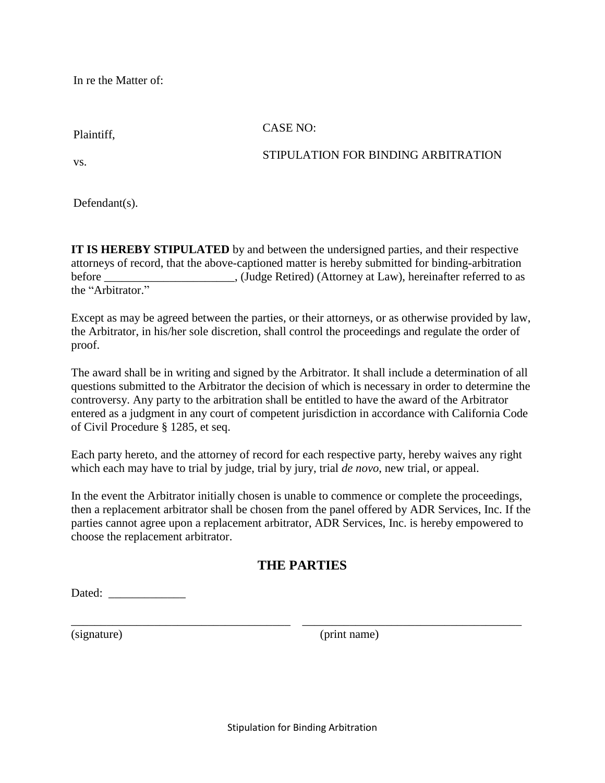In re the Matter of:

Plaintiff,

## CASE NO:

vs.

## STIPULATION FOR BINDING ARBITRATION

Defendant(s).

**IT IS HEREBY STIPULATED** by and between the undersigned parties, and their respective attorneys of record, that the above-captioned matter is hereby submitted for binding-arbitration before \_\_\_\_\_\_\_\_\_\_\_\_\_\_\_\_\_\_\_, (Judge Retired) (Attorney at Law), hereinafter referred to as the "Arbitrator."

Except as may be agreed between the parties, or their attorneys, or as otherwise provided by law, the Arbitrator, in his/her sole discretion, shall control the proceedings and regulate the order of proof.

The award shall be in writing and signed by the Arbitrator. It shall include a determination of all questions submitted to the Arbitrator the decision of which is necessary in order to determine the controversy. Any party to the arbitration shall be entitled to have the award of the Arbitrator entered as a judgment in any court of competent jurisdiction in accordance with California Code of Civil Procedure § 1285, et seq.

Each party hereto, and the attorney of record for each respective party, hereby waives any right which each may have to trial by judge, trial by jury, trial *de novo*, new trial, or appeal.

In the event the Arbitrator initially chosen is unable to commence or complete the proceedings, then a replacement arbitrator shall be chosen from the panel offered by ADR Services, Inc. If the parties cannot agree upon a replacement arbitrator, ADR Services, Inc. is hereby empowered to choose the replacement arbitrator.

## **THE PARTIES**

\_\_\_\_\_\_\_\_\_\_\_\_\_\_\_\_\_\_\_\_\_\_\_\_\_\_\_\_\_\_\_\_\_\_\_\_\_ \_\_\_\_\_\_\_\_\_\_\_\_\_\_\_\_\_\_\_\_\_\_\_\_\_\_\_\_\_\_\_\_\_\_\_\_\_

Dated:

(signature) (print name)